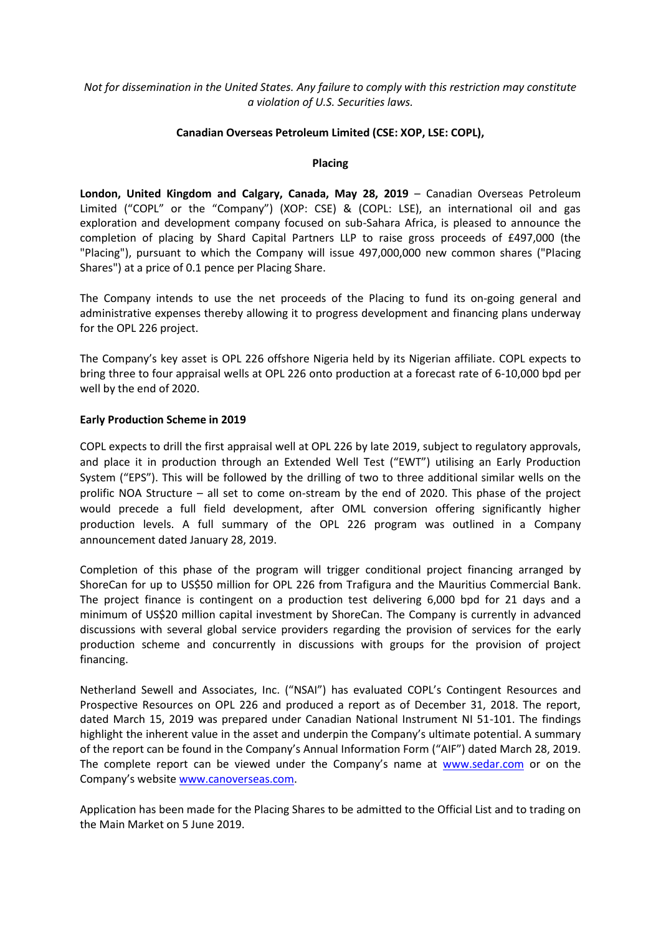# *Not for dissemination in the United States. Any failure to comply with this restriction may constitute a violation of U.S. Securities laws.*

### **Canadian Overseas Petroleum Limited (CSE: XOP, LSE: COPL),**

#### **Placing**

**London, United Kingdom and Calgary, Canada, May 28, 2019** – Canadian Overseas Petroleum Limited ("COPL" or the "Company") (XOP: CSE) & (COPL: LSE), an international oil and gas exploration and development company focused on sub-Sahara Africa, is pleased to announce the completion of placing by Shard Capital Partners LLP to raise gross proceeds of £497,000 (the "Placing"), pursuant to which the Company will issue 497,000,000 new common shares ("Placing Shares") at a price of 0.1 pence per Placing Share.

The Company intends to use the net proceeds of the Placing to fund its on-going general and administrative expenses thereby allowing it to progress development and financing plans underway for the OPL 226 project.

The Company's key asset is OPL 226 offshore Nigeria held by its Nigerian affiliate. COPL expects to bring three to four appraisal wells at OPL 226 onto production at a forecast rate of 6-10,000 bpd per well by the end of 2020.

### **Early Production Scheme in 2019**

COPL expects to drill the first appraisal well at OPL 226 by late 2019, subject to regulatory approvals, and place it in production through an Extended Well Test ("EWT") utilising an Early Production System ("EPS"). This will be followed by the drilling of two to three additional similar wells on the prolific NOA Structure – all set to come on-stream by the end of 2020. This phase of the project would precede a full field development, after OML conversion offering significantly higher production levels. A full summary of the OPL 226 program was outlined in a Company announcement dated January 28, 2019.

Completion of this phase of the program will trigger conditional project financing arranged by ShoreCan for up to US\$50 million for OPL 226 from Trafigura and the Mauritius Commercial Bank. The project finance is contingent on a production test delivering 6,000 bpd for 21 days and a minimum of US\$20 million capital investment by ShoreCan. The Company is currently in advanced discussions with several global service providers regarding the provision of services for the early production scheme and concurrently in discussions with groups for the provision of project financing.

Netherland Sewell and Associates, Inc. ("NSAI") has evaluated COPL's Contingent Resources and Prospective Resources on OPL 226 and produced a report as of December 31, 2018. The report, dated March 15, 2019 was prepared under Canadian National Instrument NI 51-101. The findings highlight the inherent value in the asset and underpin the Company's ultimate potential. A summary of the report can be found in the Company's Annual Information Form ("AIF") dated March 28, 2019. The complete report can be viewed under the Company's name at [www.sedar.com](http://www.sedar.com/) or on the Company's website [www.canoverseas.com.](http://www.canoverseas.com/)

Application has been made for the Placing Shares to be admitted to the Official List and to trading on the Main Market on 5 June 2019.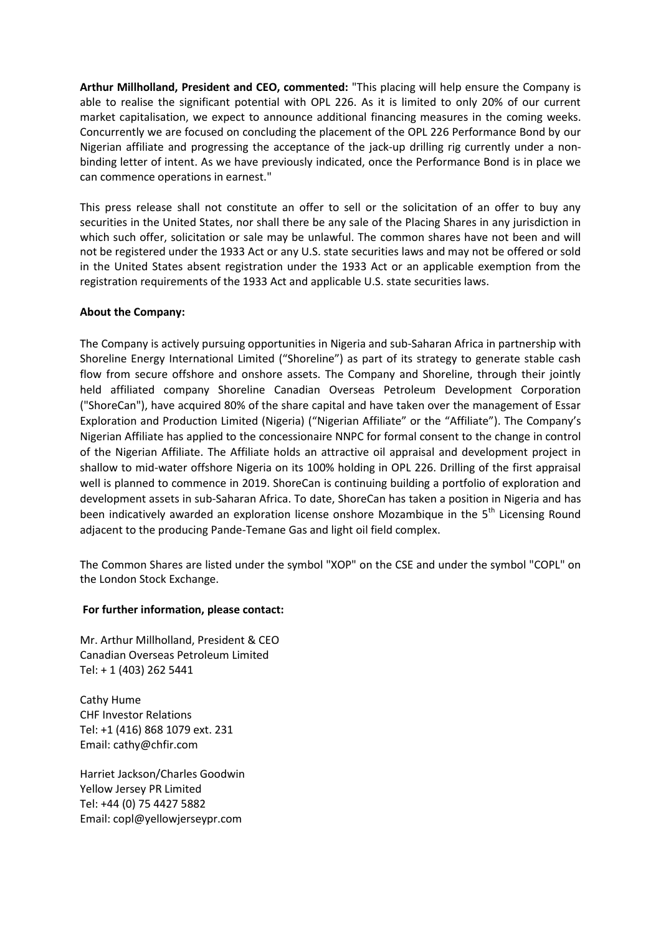**Arthur Millholland, President and CEO, commented:** "This placing will help ensure the Company is able to realise the significant potential with OPL 226. As it is limited to only 20% of our current market capitalisation, we expect to announce additional financing measures in the coming weeks. Concurrently we are focused on concluding the placement of the OPL 226 Performance Bond by our Nigerian affiliate and progressing the acceptance of the jack-up drilling rig currently under a nonbinding letter of intent. As we have previously indicated, once the Performance Bond is in place we can commence operations in earnest."

This press release shall not constitute an offer to sell or the solicitation of an offer to buy any securities in the United States, nor shall there be any sale of the Placing Shares in any jurisdiction in which such offer, solicitation or sale may be unlawful. The common shares have not been and will not be registered under the 1933 Act or any U.S. state securities laws and may not be offered or sold in the United States absent registration under the 1933 Act or an applicable exemption from the registration requirements of the 1933 Act and applicable U.S. state securities laws.

# **About the Company:**

The Company is actively pursuing opportunities in Nigeria and sub-Saharan Africa in partnership with Shoreline Energy International Limited ("Shoreline") as part of its strategy to generate stable cash flow from secure offshore and onshore assets. The Company and Shoreline, through their jointly held affiliated company Shoreline Canadian Overseas Petroleum Development Corporation ("ShoreCan"), have acquired 80% of the share capital and have taken over the management of Essar Exploration and Production Limited (Nigeria) ("Nigerian Affiliate" or the "Affiliate"). The Company's Nigerian Affiliate has applied to the concessionaire NNPC for formal consent to the change in control of the Nigerian Affiliate. The Affiliate holds an attractive oil appraisal and development project in shallow to mid-water offshore Nigeria on its 100% holding in OPL 226. Drilling of the first appraisal well is planned to commence in 2019. ShoreCan is continuing building a portfolio of exploration and development assets in sub-Saharan Africa. To date, ShoreCan has taken a position in Nigeria and has been indicatively awarded an exploration license onshore Mozambique in the 5<sup>th</sup> Licensing Round adjacent to the producing Pande-Temane Gas and light oil field complex.

The Common Shares are listed under the symbol "XOP" on the CSE and under the symbol "COPL" on the London Stock Exchange.

### **For further information, please contact:**

Mr. Arthur Millholland, President & CEO Canadian Overseas Petroleum Limited Tel: + 1 (403) 262 5441

Cathy Hume CHF Investor Relations Tel: +1 (416) 868 1079 ext. 231 Email: cathy@chfir.com

Harriet Jackson/Charles Goodwin Yellow Jersey PR Limited Tel: +44 (0) 75 4427 5882 Email: copl@yellowjerseypr.com